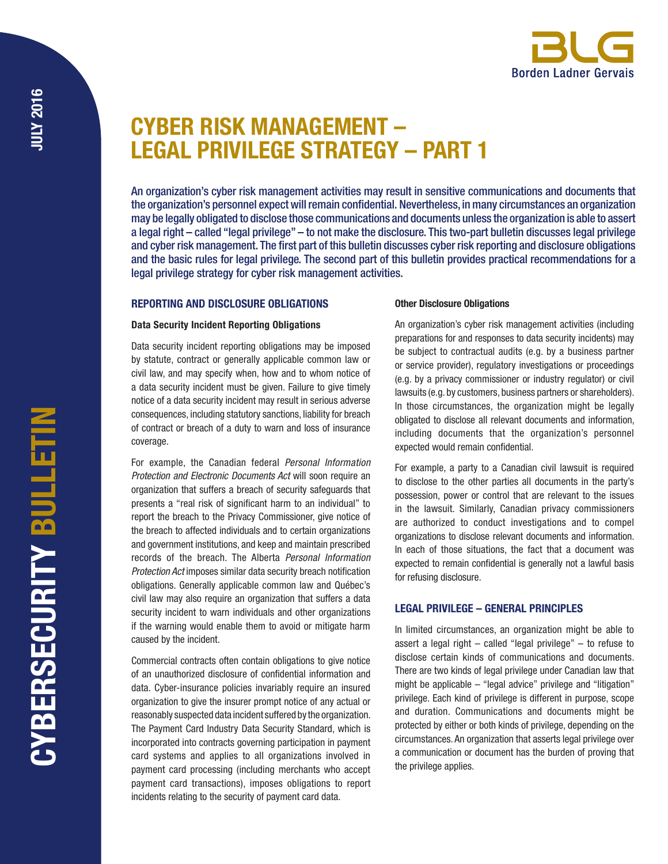# CYBER RISK MANAGEMENT – LEGAL PRIVILEGE STRATEGY – PART 1

An organization's cyber risk management activities may result in sensitive communications and documents that the organization's personnel expect will remain confidential. Nevertheless, in many circumstances an organization may be legally obligated to disclose those communications and documents unless the organization is able to assert a legal right – called "legal privilege" – to not make the disclosure. This two-part bulletin discusses legal privilege and cyber risk management. The first part of this bulletin discusses cyber risk reporting and disclosure obligations and the basic rules for legal privilege. The second part of this bulletin provides practical recommendations for a legal privilege strategy for cyber risk management activities.

# REPORTING AND DISCLOSURE OBLIGATIONS

# Other Disclosure Obligations

# Data Security Incident Reporting Obligations

Data security incident reporting obligations may be imposed by statute, contract or generally applicable common law or civil law, and may specify when, how and to whom notice of a data security incident must be given. Failure to give timely notice of a data security incident may result in serious adverse consequences, including statutory sanctions, liability for breach of contract or breach of a duty to warn and loss of insurance coverage.

For example, the Canadian federal *Personal Information Protection and Electronic Documents Act* will soon require an organization that suffers a breach of security safeguards that presents a "real risk of significant harm to an individual" to report the breach to the Privacy Commissioner, give notice of the breach to affected individuals and to certain organizations and government institutions, and keep and maintain prescribed records of the breach. The Alberta *Personal Information Protection Act* imposes similar data security breach notification obligations. Generally applicable common law and Québec's civil law may also require an organization that suffers a data security incident to warn individuals and other organizations if the warning would enable them to avoid or mitigate harm caused by the incident.

Commercial contracts often contain obligations to give notice of an unauthorized disclosure of confidential information and data. Cyber-insurance policies invariably require an insured organization to give the insurer prompt notice of any actual or reasonably suspected data incident suffered by the organization. The Payment Card Industry Data Security Standard, which is incorporated into contracts governing participation in payment card systems and applies to all organizations involved in payment card processing (including merchants who accept payment card transactions), imposes obligations to report incidents relating to the security of payment card data.

An organization's cyber risk management activities (including preparations for and responses to data security incidents) may be subject to contractual audits (e.g. by a business partner or service provider), regulatory investigations or proceedings (e.g. by a privacy commissioner or industry regulator) or civil lawsuits (e.g. by customers, business partners or shareholders). In those circumstances, the organization might be legally obligated to disclose all relevant documents and information, including documents that the organization's personnel expected would remain confidential.

For example, a party to a Canadian civil lawsuit is required to disclose to the other parties all documents in the party's possession, power or control that are relevant to the issues in the lawsuit. Similarly, Canadian privacy commissioners are authorized to conduct investigations and to compel organizations to disclose relevant documents and information. In each of those situations, the fact that a document was expected to remain confidential is generally not a lawful basis for refusing disclosure.

# LEGAL PRIVILEGE – GENERAL PRINCIPLES

In limited circumstances, an organization might be able to assert a legal right  $-$  called "legal privilege"  $-$  to refuse to disclose certain kinds of communications and documents. There are two kinds of legal privilege under Canadian law that might be applicable – "legal advice" privilege and "litigation" privilege. Each kind of privilege is different in purpose, scope and duration. Communications and documents might be protected by either or both kinds of privilege, depending on the circumstances. An organization that asserts legal privilege over a communication or document has the burden of proving that the privilege applies.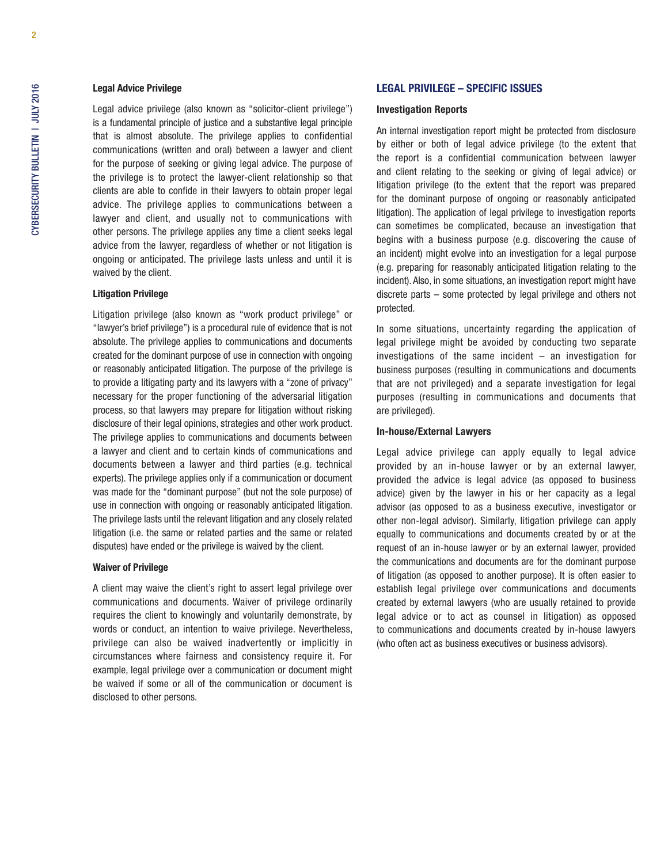## Legal Advice Privilege

Legal advice privilege (also known as "solicitor-client privilege") is a fundamental principle of justice and a substantive legal principle that is almost absolute. The privilege applies to confidential communications (written and oral) between a lawyer and client for the purpose of seeking or giving legal advice. The purpose of the privilege is to protect the lawyer-client relationship so that clients are able to confide in their lawyers to obtain proper legal advice. The privilege applies to communications between a lawyer and client, and usually not to communications with other persons. The privilege applies any time a client seeks legal advice from the lawyer, regardless of whether or not litigation is ongoing or anticipated. The privilege lasts unless and until it is waived by the client.

## Litigation Privilege

Litigation privilege (also known as "work product privilege" or "lawyer's brief privilege") is a procedural rule of evidence that is not absolute. The privilege applies to communications and documents created for the dominant purpose of use in connection with ongoing or reasonably anticipated litigation. The purpose of the privilege is to provide a litigating party and its lawyers with a "zone of privacy" necessary for the proper functioning of the adversarial litigation process, so that lawyers may prepare for litigation without risking disclosure of their legal opinions, strategies and other work product. The privilege applies to communications and documents between a lawyer and client and to certain kinds of communications and documents between a lawyer and third parties (e.g. technical experts). The privilege applies only if a communication or document was made for the "dominant purpose" (but not the sole purpose) of use in connection with ongoing or reasonably anticipated litigation. The privilege lasts until the relevant litigation and any closely related litigation (i.e. the same or related parties and the same or related disputes) have ended or the privilege is waived by the client.

#### Waiver of Privilege

A client may waive the client's right to assert legal privilege over communications and documents. Waiver of privilege ordinarily requires the client to knowingly and voluntarily demonstrate, by words or conduct, an intention to waive privilege. Nevertheless, privilege can also be waived inadvertently or implicitly in circumstances where fairness and consistency require it. For example, legal privilege over a communication or document might be waived if some or all of the communication or document is disclosed to other persons.

## LEGAL PRIVILEGE – SPECIFIC ISSUES

#### Investigation Reports

An internal investigation report might be protected from disclosure by either or both of legal advice privilege (to the extent that the report is a confidential communication between lawyer and client relating to the seeking or giving of legal advice) or litigation privilege (to the extent that the report was prepared for the dominant purpose of ongoing or reasonably anticipated litigation). The application of legal privilege to investigation reports can sometimes be complicated, because an investigation that begins with a business purpose (e.g. discovering the cause of an incident) might evolve into an investigation for a legal purpose (e.g. preparing for reasonably anticipated litigation relating to the incident). Also, in some situations, an investigation report might have discrete parts – some protected by legal privilege and others not protected.

In some situations, uncertainty regarding the application of legal privilege might be avoided by conducting two separate investigations of the same incident – an investigation for business purposes (resulting in communications and documents that are not privileged) and a separate investigation for legal purposes (resulting in communications and documents that are privileged).

# In-house/External Lawyers

Legal advice privilege can apply equally to legal advice provided by an in-house lawyer or by an external lawyer, provided the advice is legal advice (as opposed to business advice) given by the lawyer in his or her capacity as a legal advisor (as opposed to as a business executive, investigator or other non-legal advisor). Similarly, litigation privilege can apply equally to communications and documents created by or at the request of an in-house lawyer or by an external lawyer, provided the communications and documents are for the dominant purpose of litigation (as opposed to another purpose). It is often easier to establish legal privilege over communications and documents created by external lawyers (who are usually retained to provide legal advice or to act as counsel in litigation) as opposed to communications and documents created by in-house lawyers (who often act as business executives or business advisors).